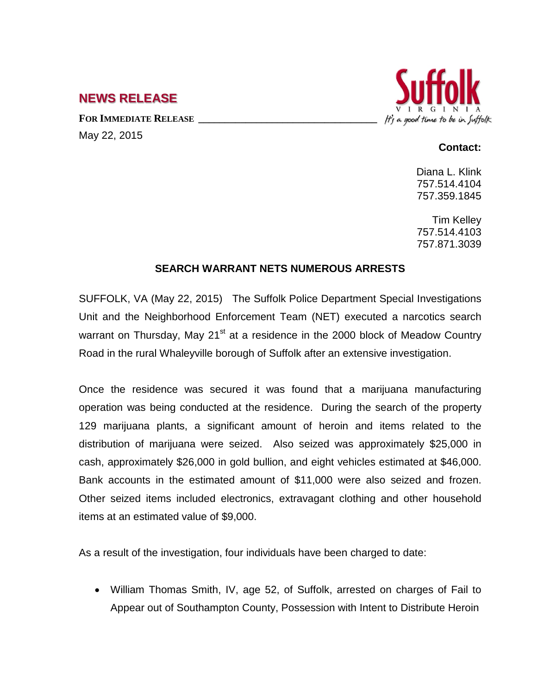## **NEWS RELEASE**

FOR **IMMEDIATE RELEASE** May 22, 2015



## **Contact:**

Diana L. Klink 757.514.4104 757.359.1845

Tim Kelley 757.514.4103 757.871.3039

## **SEARCH WARRANT NETS NUMEROUS ARRESTS**

SUFFOLK, VA (May 22, 2015) The Suffolk Police Department Special Investigations Unit and the Neighborhood Enforcement Team (NET) executed a narcotics search warrant on Thursday, May 21 $^{\text{st}}$  at a residence in the 2000 block of Meadow Country Road in the rural Whaleyville borough of Suffolk after an extensive investigation.

Once the residence was secured it was found that a marijuana manufacturing operation was being conducted at the residence. During the search of the property 129 marijuana plants, a significant amount of heroin and items related to the distribution of marijuana were seized. Also seized was approximately \$25,000 in cash, approximately \$26,000 in gold bullion, and eight vehicles estimated at \$46,000. Bank accounts in the estimated amount of \$11,000 were also seized and frozen. Other seized items included electronics, extravagant clothing and other household items at an estimated value of \$9,000.

As a result of the investigation, four individuals have been charged to date:

• William Thomas Smith, IV, age 52, of Suffolk, arrested on charges of Fail to Appear out of Southampton County, Possession with Intent to Distribute Heroin